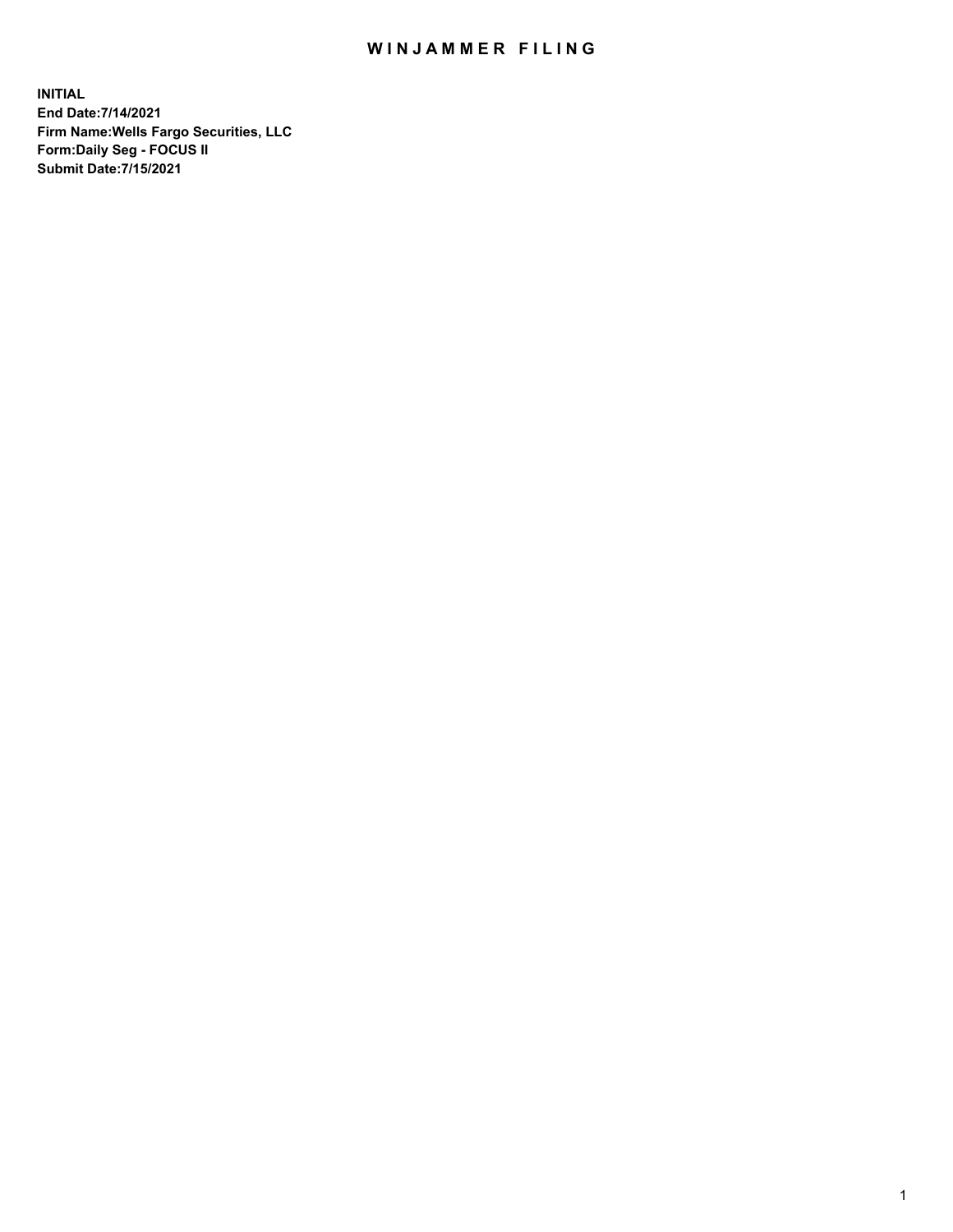## WIN JAMMER FILING

**INITIAL End Date:7/14/2021 Firm Name:Wells Fargo Securities, LLC Form:Daily Seg - FOCUS II Submit Date:7/15/2021**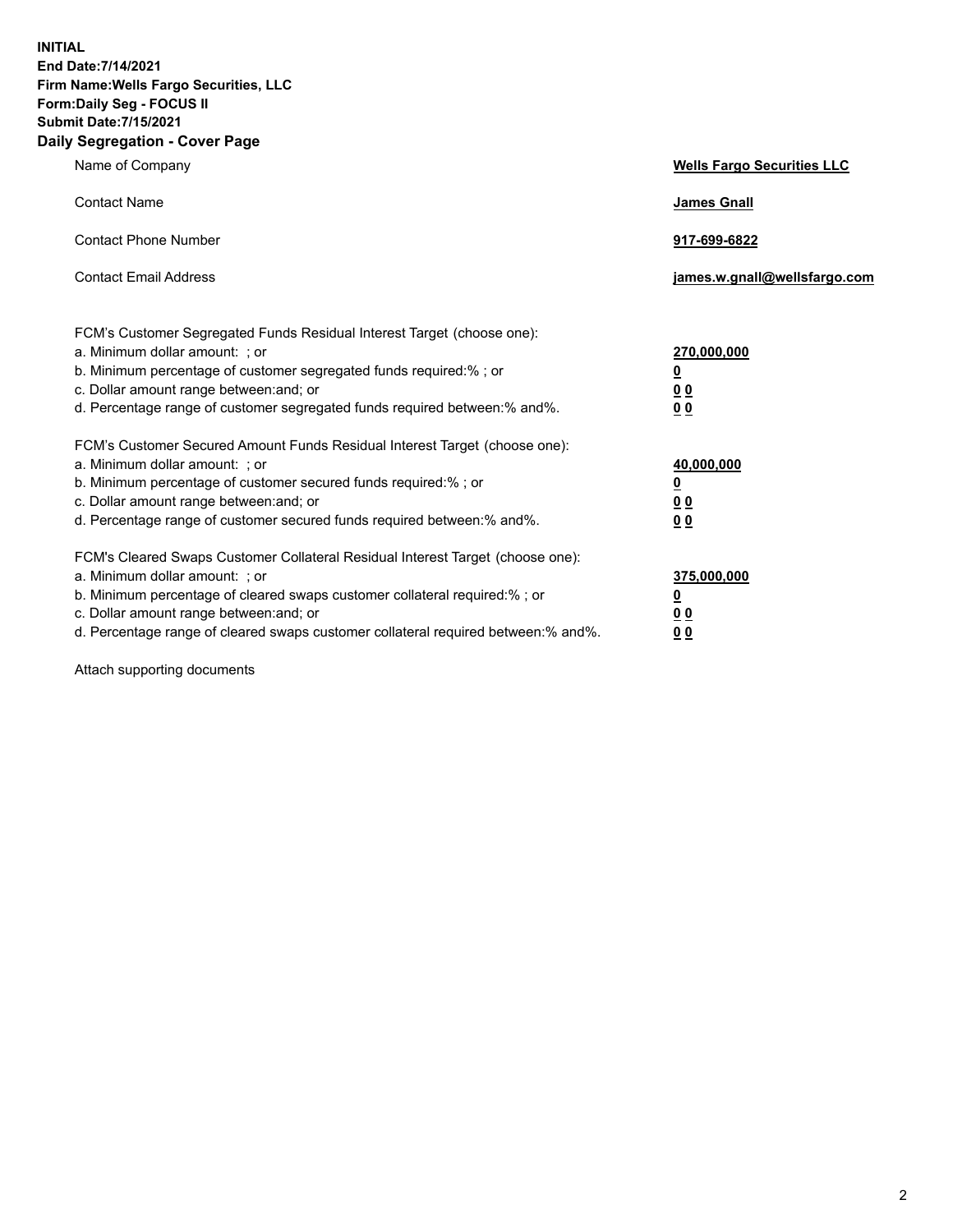**INITIAL End Date:7/14/2021 Firm Name:Wells Fargo Securities, LLC Form:Daily Seg - FOCUS II Submit Date:7/15/2021 Daily Segregation - Cover Page**

| Name of Company                                                                                                                                                                                                                                                                                                                | <b>Wells Fargo Securities LLC</b>                           |
|--------------------------------------------------------------------------------------------------------------------------------------------------------------------------------------------------------------------------------------------------------------------------------------------------------------------------------|-------------------------------------------------------------|
| <b>Contact Name</b>                                                                                                                                                                                                                                                                                                            | <b>James Gnall</b>                                          |
| <b>Contact Phone Number</b>                                                                                                                                                                                                                                                                                                    | 917-699-6822                                                |
| <b>Contact Email Address</b>                                                                                                                                                                                                                                                                                                   | james.w.gnall@wellsfargo.com                                |
| FCM's Customer Segregated Funds Residual Interest Target (choose one):<br>a. Minimum dollar amount: ; or<br>b. Minimum percentage of customer segregated funds required:% ; or<br>c. Dollar amount range between: and; or<br>d. Percentage range of customer segregated funds required between:% and%.                         | 270,000,000<br><u>0</u><br>0 <sub>0</sub><br>0 <sub>0</sub> |
| FCM's Customer Secured Amount Funds Residual Interest Target (choose one):<br>a. Minimum dollar amount: ; or<br>b. Minimum percentage of customer secured funds required:%; or<br>c. Dollar amount range between: and; or<br>d. Percentage range of customer secured funds required between:% and%.                            | 40,000,000<br><u>0</u><br>00<br>0 <sub>0</sub>              |
| FCM's Cleared Swaps Customer Collateral Residual Interest Target (choose one):<br>a. Minimum dollar amount: ; or<br>b. Minimum percentage of cleared swaps customer collateral required:% ; or<br>c. Dollar amount range between: and; or<br>d. Percentage range of cleared swaps customer collateral required between:% and%. | 375,000,000<br><u>0</u><br>0 <sub>0</sub><br>00             |

Attach supporting documents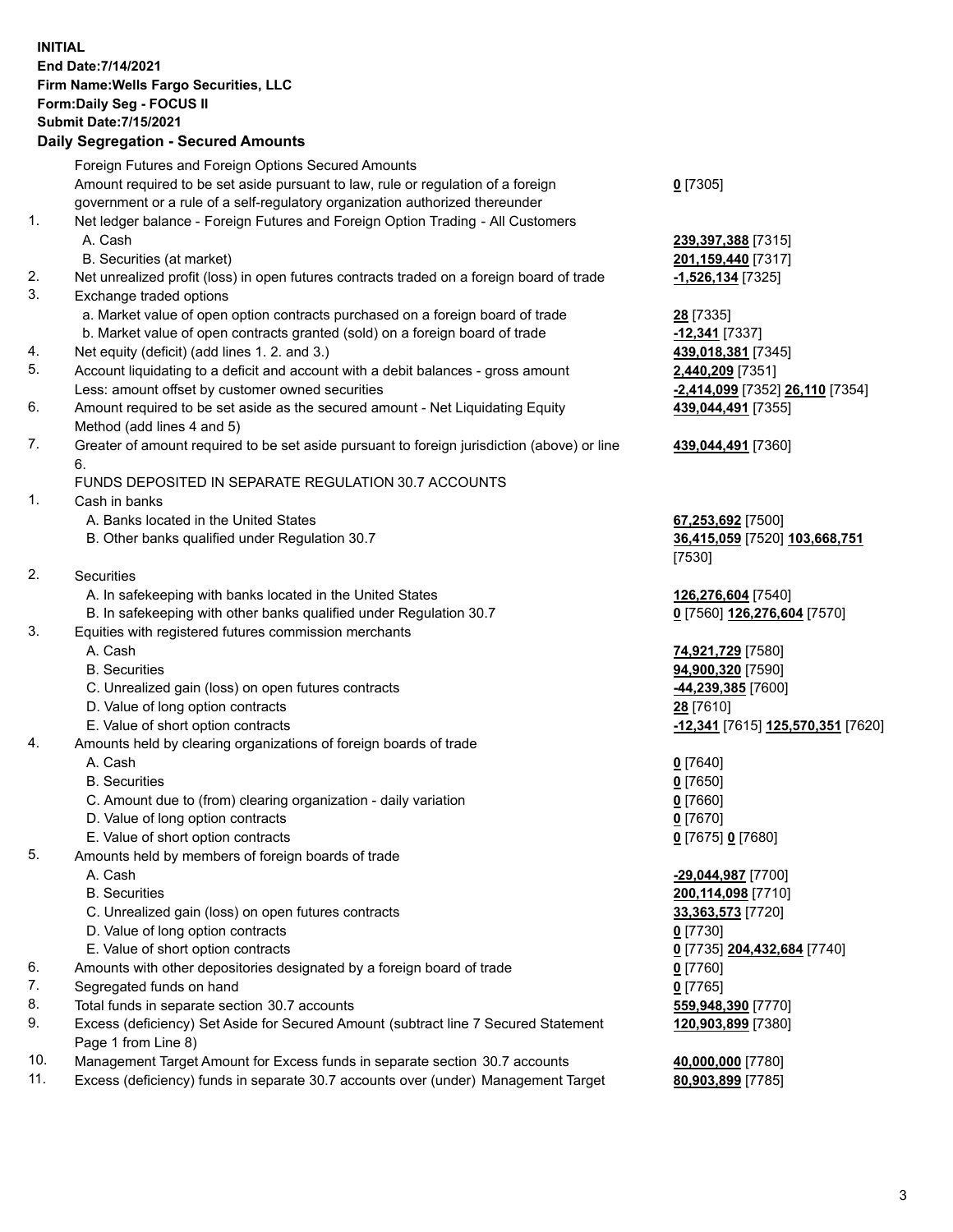**INITIAL End Date:7/14/2021 Firm Name:Wells Fargo Securities, LLC Form:Daily Seg - FOCUS II Submit Date:7/15/2021**

## **Daily Segregation - Secured Amounts**

|     | Foreign Futures and Foreign Options Secured Amounts                                         |                                   |
|-----|---------------------------------------------------------------------------------------------|-----------------------------------|
|     | Amount required to be set aside pursuant to law, rule or regulation of a foreign            | $0$ [7305]                        |
|     | government or a rule of a self-regulatory organization authorized thereunder                |                                   |
| 1.  | Net ledger balance - Foreign Futures and Foreign Option Trading - All Customers             |                                   |
|     | A. Cash                                                                                     | 239,397,388 [7315]                |
|     | B. Securities (at market)                                                                   | 201,159,440 [7317]                |
| 2.  | Net unrealized profit (loss) in open futures contracts traded on a foreign board of trade   | -1,526,134 [7325]                 |
| 3.  | Exchange traded options                                                                     |                                   |
|     | a. Market value of open option contracts purchased on a foreign board of trade              | 28 [7335]                         |
|     | b. Market value of open contracts granted (sold) on a foreign board of trade                | -12,341 [7337]                    |
| 4.  | Net equity (deficit) (add lines 1. 2. and 3.)                                               | 439,018,381 [7345]                |
| 5.  | Account liquidating to a deficit and account with a debit balances - gross amount           | 2,440,209 [7351]                  |
|     | Less: amount offset by customer owned securities                                            | -2,414,099 [7352] 26,110 [7354]   |
| 6.  | Amount required to be set aside as the secured amount - Net Liquidating Equity              | 439,044,491 [7355]                |
|     | Method (add lines 4 and 5)                                                                  |                                   |
| 7.  | Greater of amount required to be set aside pursuant to foreign jurisdiction (above) or line | 439,044,491 [7360]                |
|     | 6.                                                                                          |                                   |
|     | FUNDS DEPOSITED IN SEPARATE REGULATION 30.7 ACCOUNTS                                        |                                   |
| 1.  | Cash in banks                                                                               |                                   |
|     | A. Banks located in the United States                                                       | 67,253,692 [7500]                 |
|     | B. Other banks qualified under Regulation 30.7                                              | 36,415,059 [7520] 103,668,751     |
|     |                                                                                             | [7530]                            |
| 2.  | Securities                                                                                  |                                   |
|     | A. In safekeeping with banks located in the United States                                   | 126,276,604 [7540]                |
|     | B. In safekeeping with other banks qualified under Regulation 30.7                          | 0 [7560] 126,276,604 [7570]       |
| 3.  | Equities with registered futures commission merchants                                       |                                   |
|     | A. Cash                                                                                     | 74,921,729 [7580]                 |
|     | <b>B.</b> Securities                                                                        | 94,900,320 [7590]                 |
|     | C. Unrealized gain (loss) on open futures contracts                                         | 44,239,385 [7600]                 |
|     | D. Value of long option contracts                                                           | 28 [7610]                         |
|     | E. Value of short option contracts                                                          | -12,341 [7615] 125,570,351 [7620] |
| 4.  | Amounts held by clearing organizations of foreign boards of trade                           |                                   |
|     | A. Cash                                                                                     | $0$ [7640]                        |
|     | <b>B.</b> Securities                                                                        | $0$ [7650]                        |
|     | C. Amount due to (from) clearing organization - daily variation                             | $0$ [7660]                        |
|     | D. Value of long option contracts                                                           | $0$ [7670]                        |
|     | E. Value of short option contracts                                                          | 0 [7675] 0 [7680]                 |
| 5.  | Amounts held by members of foreign boards of trade                                          |                                   |
|     | A. Cash                                                                                     | -29,044,987 [7700]                |
|     | <b>B.</b> Securities                                                                        | 200,114,098 [7710]                |
|     | C. Unrealized gain (loss) on open futures contracts                                         | 33,363,573 [7720]                 |
|     | D. Value of long option contracts                                                           | $0$ [7730]                        |
|     | E. Value of short option contracts                                                          | 0 [7735] 204,432,684 [7740]       |
| 6.  | Amounts with other depositories designated by a foreign board of trade                      | $0$ [7760]                        |
| 7.  | Segregated funds on hand                                                                    | $0$ [7765]                        |
| 8.  | Total funds in separate section 30.7 accounts                                               | 559,948,390 [7770]                |
| 9.  | Excess (deficiency) Set Aside for Secured Amount (subtract line 7 Secured Statement         | 120,903,899 [7380]                |
|     | Page 1 from Line 8)                                                                         |                                   |
| 10. | Management Target Amount for Excess funds in separate section 30.7 accounts                 | 40,000,000 [7780]                 |

- 
- 11. Excess (deficiency) funds in separate 30.7 accounts over (under) Management Target **80,903,899** [7785]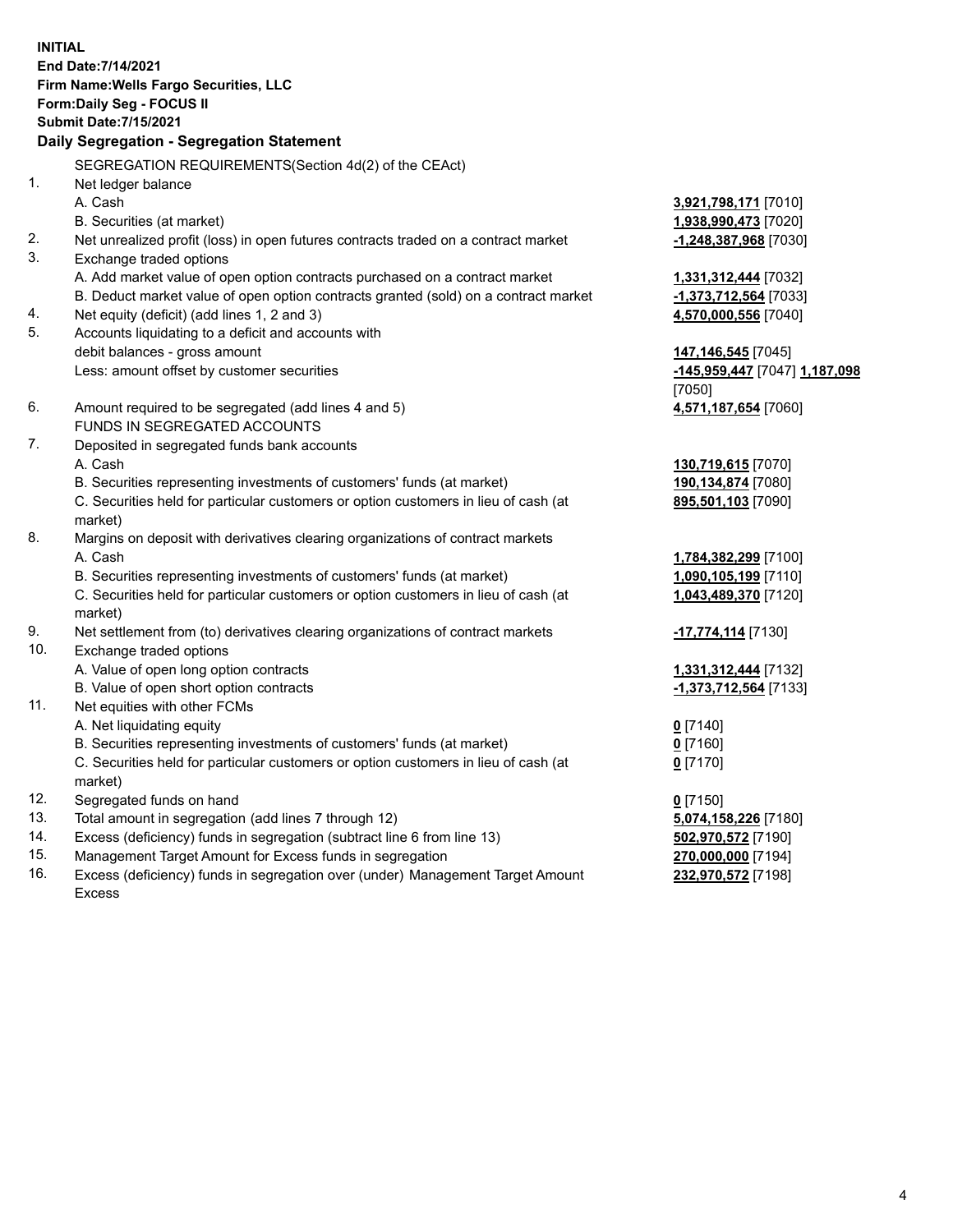**INITIAL End Date:7/14/2021 Firm Name:Wells Fargo Securities, LLC Form:Daily Seg - FOCUS II Submit Date:7/15/2021**

## **Daily Segregation - Segregation Statement**

SEGREGATION REQUIREMENTS(Section 4d(2) of the CEAct)

| $\mathbf{1}$ . | Net ledger balance                                                                  |                               |
|----------------|-------------------------------------------------------------------------------------|-------------------------------|
|                | A. Cash                                                                             | 3,921,798,171 [7010]          |
|                | B. Securities (at market)                                                           | 1,938,990,473 [7020]          |
| 2.             | Net unrealized profit (loss) in open futures contracts traded on a contract market  | -1,248,387,968 [7030]         |
| 3.             | Exchange traded options                                                             |                               |
|                | A. Add market value of open option contracts purchased on a contract market         | 1,331,312,444 [7032]          |
|                | B. Deduct market value of open option contracts granted (sold) on a contract market | -1,373,712,564 [7033]         |
| 4.             | Net equity (deficit) (add lines 1, 2 and 3)                                         | 4,570,000,556 [7040]          |
| 5.             | Accounts liquidating to a deficit and accounts with                                 |                               |
|                | debit balances - gross amount                                                       | 147, 146, 545 [7045]          |
|                | Less: amount offset by customer securities                                          | -145,959,447 [7047] 1,187,098 |
|                |                                                                                     | [7050]                        |
| 6.             | Amount required to be segregated (add lines 4 and 5)                                | 4,571,187,654 [7060]          |
|                | FUNDS IN SEGREGATED ACCOUNTS                                                        |                               |
| 7.             | Deposited in segregated funds bank accounts                                         |                               |
|                | A. Cash                                                                             | 130,719,615 [7070]            |
|                | B. Securities representing investments of customers' funds (at market)              | 190,134,874 [7080]            |
|                | C. Securities held for particular customers or option customers in lieu of cash (at | 895,501,103 [7090]            |
|                | market)                                                                             |                               |
| 8.             | Margins on deposit with derivatives clearing organizations of contract markets      |                               |
|                | A. Cash                                                                             | 1,784,382,299 [7100]          |
|                | B. Securities representing investments of customers' funds (at market)              | 1,090,105,199 [7110]          |
|                | C. Securities held for particular customers or option customers in lieu of cash (at | 1,043,489,370 [7120]          |
|                | market)                                                                             |                               |
| 9.             | Net settlement from (to) derivatives clearing organizations of contract markets     | -17,774,114 [7130]            |
| 10.            | Exchange traded options                                                             |                               |
|                | A. Value of open long option contracts                                              | 1,331,312,444 [7132]          |
|                | B. Value of open short option contracts                                             | -1,373,712,564 [7133]         |
| 11.            | Net equities with other FCMs                                                        |                               |
|                | A. Net liquidating equity                                                           | $0$ [7140]                    |
|                | B. Securities representing investments of customers' funds (at market)              | $0$ [7160]                    |
|                | C. Securities held for particular customers or option customers in lieu of cash (at | $0$ [7170]                    |
|                | market)                                                                             |                               |
| 12.            | Segregated funds on hand                                                            | $0$ [7150]                    |
| 13.            | Total amount in segregation (add lines 7 through 12)                                | 5,074,158,226 [7180]          |
| 14.            | Excess (deficiency) funds in segregation (subtract line 6 from line 13)             | 502,970,572 [7190]            |
| 15.            | Management Target Amount for Excess funds in segregation                            | 270,000,000 [7194]            |
| 16.            | Excess (deficiency) funds in segregation over (under) Management Target Amount      | 232,970,572 [7198]            |
|                | <b>Excess</b>                                                                       |                               |
|                |                                                                                     |                               |